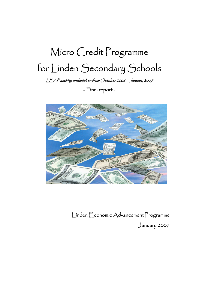# Micro Credit Programme for Linden Secondary Schools

LEAP activity undertaken from October 2006 – January 2007

- Final report -



Linden Economic Advancement Programme January 2007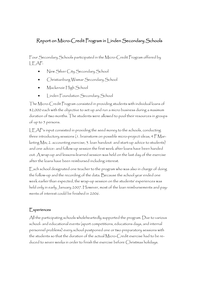### Report on Micro-Credit Program in Linden Secondary Schools

Four Secondary Schools participated in the Micro-Credit Program offered by LEAP:

- New Silver City Secondary School
- Christianburg Wismar Secondary School
- Mackenzie High School
- Linden Foundation Secondary School

The Micro-Credit Program consisted in providing students with individual loans of \$2,000 each with the objective to set up and run a micro business during a maximum duration of two months. The students were allowed to pool their resources in groups of up to 5 persons.

LEAP's input consisted in providing the seed money to the schools, conducting three introductory sessions (1. brainstorm on possible micro-project ideas, 4 P Marketing Mix; 2. accounting exercise; 3. loan handout and start-up advice to students) and one advice- and follow-up session the first week after loans have been handed out. A wrap-up and lessons-learned session was held on the last day of the exercise after the loans have been reimbursed including interest.

Each school designated one teacher to the program who was also in charge of doing the follow-up and the recording of the data. Because the school year ended one week earlier than expected, the wrap-up session on the students' experiences was held only in early January 2007. However, most of the loan reimbursements and payments of interest could be finished in 2006.

#### **Experiences**

All the participating schools wholeheartedly supported the program. Due to various school- and educational events (sport competitions, educations days, and internal personnel problems) every school postponed one or two preparatory sessions with the students so that the duration of the actual Micro-Credit exercise had to be reduced to seven weeks in order to finish the exercise before Christmas holidays.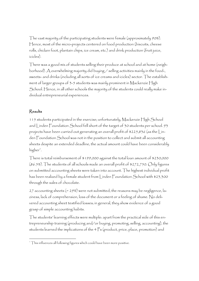The vast majority of the participating students were female (approximately 90%). Hence, most of the micro-projects centered on food production (biscuits, cheese rolls, chicken foot, plantain chips, ice cream, etc.) and drink production (fruit juice, icicles).

There was a good mix of students selling their produce at school and at home (neighborhood). A overwhelming majority did buying / selling activities mainly in the food-, sweets- and drinks (including all sorts of ice creams and icicles) sector. The establishment of larger groups of 3-5 students was mainly prominent in Mackenzie High School. Hence, in all other schools the majority of the students could really make individual entrepreneurial experiences.

#### Results

115 students participated in the exercise; unfortunately, Mackenzie High School and Linden Foundation School fell short of the target of 30 students per school. 93 projects have been carried out generating an overall profit of \$225,836 (as the Linden Foundation School was not in the position to collect and submit all accounting sheets despite an extended deadline, the actual amount could have been considerably higher<sup>i</sup>.

There is total reimbursement of \$199,000 against the total loan amount of \$230,000 (86.5%). The students of all schools made an overall profit of \$272,750. Only figures on submitted accounting sheets were taken into account. The highest individual profit has been realized by a female student from Linden Foundation School with \$23,300 through the sales of chocolate.

27 accounting sheets (= 29%) were not submitted; the reasons may be negligence, laziness, lack of comprehension, loss of the document or a feeling of shame. No delivered accounting sheet testified losses; in general, they show evidence of a good grasp of simple accounting habits.

The students' learning effects were multiple: apart from the practical side of this entrepreneurship training (producing and/or buying, promoting, selling, accounting), the students learned the implications of the 4 Ps (product, price, place, promotion) and

<sup>&</sup>lt;sup>1</sup> This influences all following figures which could have been more positive.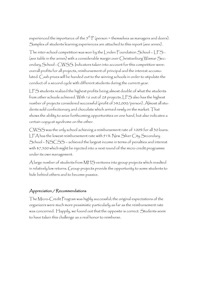experienced the importance of the  $5<sup>th</sup>$  P (person = themselves as managers and doers). Samples of students learning experiences are attached to this report (see annex).

The inter-school competition was won by the Linden Foundation School – LFS – (see table in the annex) with a considerable margin over Christianburg Wismar Secondary School - CWSS. Indicators taken into account for this competition were: overall profits for all projects, reimbursement of principal and the interest accumulated. Cash prizes will be handed out to the winning schools in order to stipulate the conduct of a second cycle with different students during the current year.

LFS students realized the highest profits being almost double of what the students from other schools achieved. With 16 out of 28 projects, LFS also has the highest number of projects considered successful (profit of >\$2,000/person). Almost all students sold confectionary and chocolate which arrived newly on the market. That shows the ability to seize forthcoming opportunities on one hand, but also indicates a certain copycat syndrome on the other.

CWSS was the only school achieving a reimbursement rate of 100% for all 30 loans. LFA has the lowest reimbursement rate with 91%. New Silver City Secondary School – NSCSS – achieved the largest income in terms of penalties and interest with \$7,500 which might be injected into a next round of the micro credit programme under its own management.

A large number of students from MHS ventures into group projects which resulted in relatively low returns. Group projects provide the opportunity to some students to hide behind others and to become passive.

#### Appreciation / Recommendations

The Micro-Credit Program was highly successful; the original expectations of the organizers were much more pessimistic particularly as far as the reimbursement rate was concerned. Happily, we found out that the opposite is correct. Students seem to have taken this challenge as a real honor to reimburse.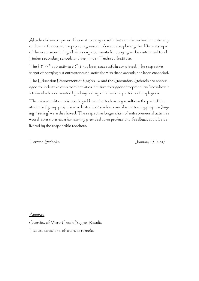All schools have expressed interest to carry on with that exercise as has been already outlined in the respective project agreement. A manual explaining the different steps of the exercise including all necessary documents for copying will be distributed to all Linden secondary schools and the Linden Technical Institute.

The LEAP sub-activity 6 C.8 has been successfully completed. The respective target of carrying out entrepreneurial activities with three schools has been exceeded.

The Education Department of Region 10 and the Secondary Schools are encouraged to undertake even more activities in future to trigger entrepreneurial know-how in a town which is dominated by a long history of behavioral patterns of employees.

The micro-credit exercise could yield even better learning results on the part of the students if group projects were limited to 2 students and if mere trading projects (buying / selling) were disallowed. The respective longer chain of entrepreneurial activities would leave more room for learning provided some professional feedback could be delivered by the responsible teachers.

Torsten Striepke January 15, 2007

Annexes

Overview of Micro-Credit Program Results

Two students' end-of-exercise remarks